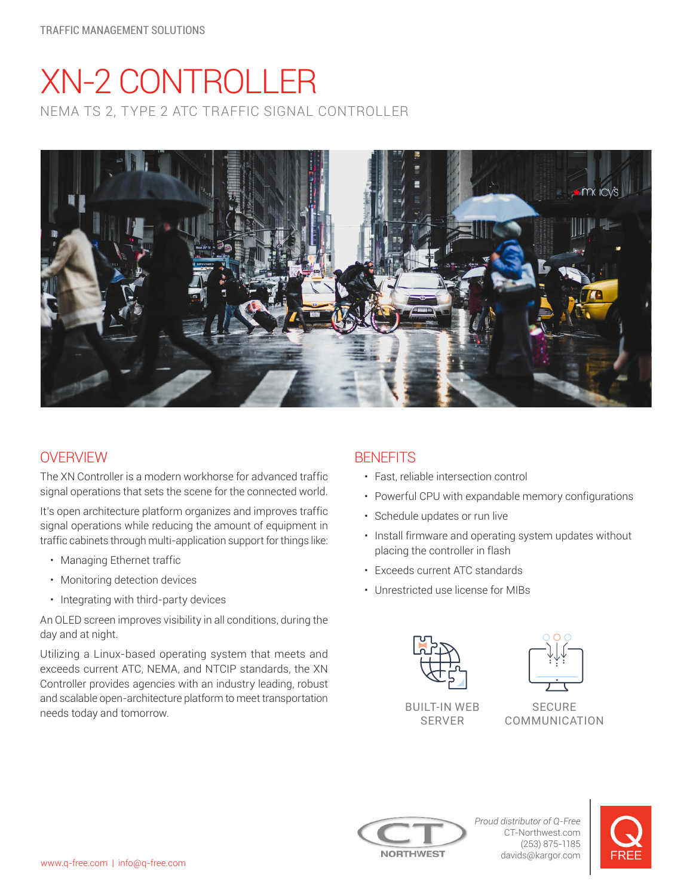# XN-2 CONTROLLER NEMA TS 2, TYPE 2 ATC TRAFFIC SIGNAL CONTROLLER



## **OVERVIEW**

The XN Controller is a modern workhorse for advanced traffic signal operations that sets the scene for the connected world.

It's open architecture platform organizes and improves traffic signal operations while reducing the amount of equipment in traffic cabinets through multi-application support for things like:

- Managing Ethernet traffic
- Monitoring detection devices
- Integrating with third-party devices

An OLED screen improves visibility in all conditions, during the day and at night.

Utilizing a Linux-based operating system that meets and exceeds current ATC, NEMA, and NTCIP standards, the XN Controller provides agencies with an industry leading, robust and scalable open-architecture platform to meet transportation needs today and tomorrow.

## **BENFFITS**

- Fast, reliable intersection control
- Powerful CPU with expandable memory configurations
- Schedule updates or run live
- Install firmware and operating system updates without placing the controller in flash
- Exceeds current ATC standards
- Unrestricted use license for MIBs





SERVER

SECURE COMMUNICATION



*Proud distributor of Q-Free* CT-Northwest.com (253) 875-1185 davids@kargor.com